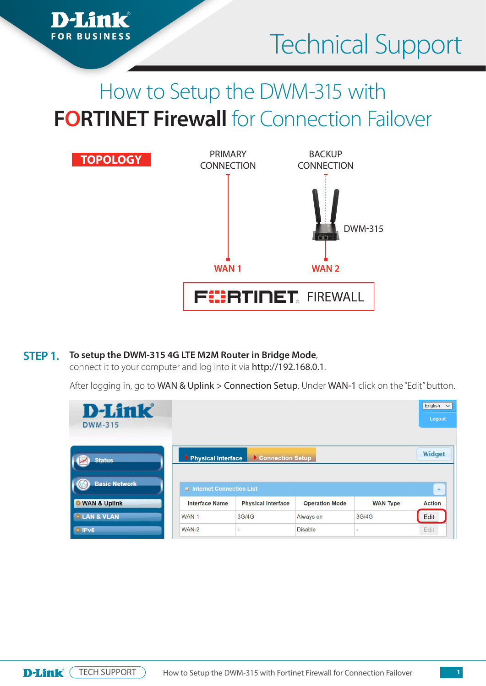

# How to Setup the DWM-315 with **FORTINET Firewall** for Connection Failover



#### **To setup the DWM-315 4G LTE M2M Router in Bridge Mode**, **STEP 1.**

*i*mk

**FOR BUSINESS** 

connect it to your computer and log into it via http://192.168.0.1.

After logging in, go to WAN & Uplink > Connection Setup. Under WAN-1 click on the "Edit" button.

| <b>D-Link</b><br><b>DWM-315</b><br>1961 1971 1982 1993 1994 1995 19 |                          |                           |                       |                 | English<br>$\checkmark$<br>Logout |
|---------------------------------------------------------------------|--------------------------|---------------------------|-----------------------|-----------------|-----------------------------------|
| <b>Status</b>                                                       | Physical Interface       | Connection Setup          |                       |                 | Widget                            |
| <b>Basic Network</b>                                                | Internet Connection List |                           |                       |                 | A.                                |
| <b>O</b> WAN & Uplink                                               | <b>Interface Name</b>    | <b>Physical Interface</b> | <b>Operation Mode</b> | <b>WAN Type</b> | <b>Action</b>                     |
| <b><i>•</i>LAN &amp; VLAN</b>                                       | WAN-1                    | 3G/4G                     | Always on             | 3G/4G           | Edit                              |
| <b>IPv6</b>                                                         | $WAN-2$                  | $\overline{\phantom{a}}$  | <b>Disable</b>        | $\sim$          | Edit                              |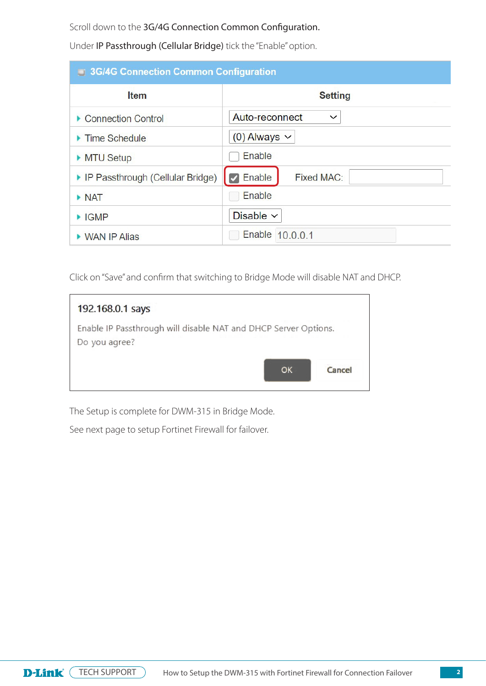Scroll down to the 3G/4G Connection Common Configuration.

Under IP Passthrough (Cellular Bridge) tick the "Enable" option.

| <b>3G/4G Connection Common Configuration</b> |                                |  |  |  |  |
|----------------------------------------------|--------------------------------|--|--|--|--|
| <b>Item</b>                                  | <b>Setting</b>                 |  |  |  |  |
| ▶ Connection Control                         | Auto-reconnect<br>$\checkmark$ |  |  |  |  |
| $\blacktriangleright$ Time Schedule          | $(0)$ Always $\vee$            |  |  |  |  |
| MTU Setup                                    | Enable                         |  |  |  |  |
| ▶ IP Passthrough (Cellular Bridge)           | $\vee$ Enable<br>Fixed MAC:    |  |  |  |  |
| $\triangleright$ NAT                         | Enable                         |  |  |  |  |
| $\blacktriangleright$ IGMP                   | Disable $\vee$                 |  |  |  |  |
| ▶ WAN IP Alias                               | Enable 10.0.0.1                |  |  |  |  |

Click on "Save" and confirm that switching to Bridge Mode will disable NAT and DHCP.

| 192.168.0.1 says                                                                 |        |
|----------------------------------------------------------------------------------|--------|
| Enable IP Passthrough will disable NAT and DHCP Server Options.<br>Do you agree? |        |
| OK                                                                               | Cancel |

The Setup is complete for DWM-315 in Bridge Mode.

See next page to setup Fortinet Firewall for failover.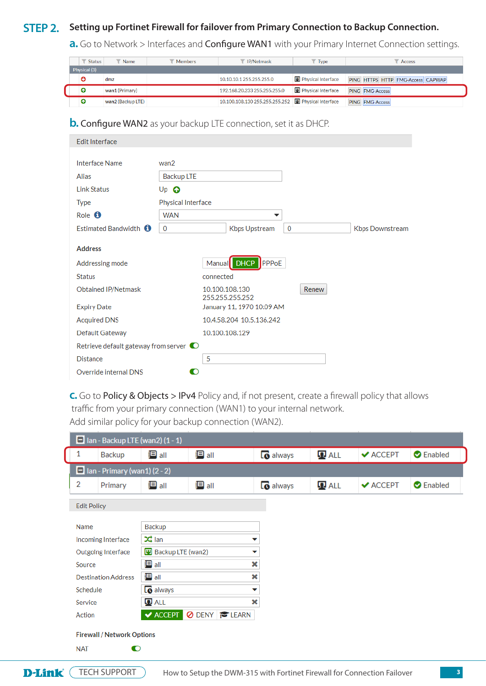## **STEP 2.** Setting up Fortinet Firewall for failover from Primary Connection to Backup Connection.

**a.** Go to Network > Interfaces and **Configure WAN1** with your Primary Internet Connection settings.

| <b>Status</b> | Name              | <b>Members</b> | IP/Netmask                                            | <b>Type</b>        | Access                            |
|---------------|-------------------|----------------|-------------------------------------------------------|--------------------|-----------------------------------|
| Physical (3)  |                   |                |                                                       |                    |                                   |
|               | dmz               |                | 10.10.10.1255.255.255.0                               | Physical Interface | PING HTTPS HTTP FMG-Access CAPWAP |
| ໑             | wan1 (Primary)    |                | 192.168.20.233 255.255.255.0                          | Physical Interface | PING FMG-Access                   |
|               | wan2 (Backup LTE) |                | 10.100.108.130 255.255.255.252   D Physical Interface |                    | PING FMG-Access                   |

**b. Configure WAN2** as your backup LTE connection, set it as DHCP.

| <b>Fdit Interface</b>                          |                           |                                              |             |                        |
|------------------------------------------------|---------------------------|----------------------------------------------|-------------|------------------------|
|                                                |                           |                                              |             |                        |
| Interface Name                                 | wan2                      |                                              |             |                        |
| Alias                                          | <b>Backup LTE</b>         |                                              |             |                        |
| <b>Link Status</b>                             | $Up$ $\odot$              |                                              |             |                        |
| <b>Type</b>                                    | <b>Physical Interface</b> |                                              |             |                        |
| Role <sup>O</sup>                              | <b>WAN</b>                | ▼                                            |             |                        |
| Estimated Bandwidth <b>O</b>                   | $\circ$                   | Kbps Upstream                                | $\mathbf 0$ | <b>Kbps Downstream</b> |
|                                                |                           |                                              |             |                        |
| <b>Address</b>                                 |                           |                                              |             |                        |
| Addressing mode                                |                           | Manual DHCP PPPoE                            |             |                        |
| <b>Status</b>                                  | connected                 |                                              |             |                        |
| Obtained IP/Netmask                            |                           | 10.100.108.130                               | Renew       |                        |
| <b>Expiry Date</b>                             |                           | 255.255.255.252<br>January 11, 1970 10:09 AM |             |                        |
| <b>Acquired DNS</b>                            |                           | 10.4.58.204 10.5.136.242                     |             |                        |
|                                                |                           | 10.100.108.129                               |             |                        |
| Default Gateway                                |                           |                                              |             |                        |
| Retrieve default gateway from server $\bullet$ |                           |                                              |             |                        |
| <b>Distance</b>                                | 5                         |                                              |             |                        |
| Override internal DNS                          |                           |                                              |             |                        |

**c.** Go to Policy & Objects > IPv4 Policy and, if not present, create a firewall policy that allows traffic from your primary connection (WAN1) to your internal network.

Add similar policy for your backup connection (WAN2).

| $\Box$ Ian - Backup LTE (wan2) (1 - 1) |                                   |                                 |                             |                  |           |          |                  |  |
|----------------------------------------|-----------------------------------|---------------------------------|-----------------------------|------------------|-----------|----------|------------------|--|
|                                        | Backup                            | <mark>目 all</mark>              | <mark>目</mark> all          | <b>Lo</b> always | $\Pi$ ALL | ✔ ACCEPT | <b>O</b> Enabled |  |
| $\Box$ Ian - Primary (wan1) (2 - 2)    |                                   |                                 |                             |                  |           |          |                  |  |
| 2                                      | Primary                           | <mark>目</mark> all              | <mark>目 all</mark>          | <b>lo</b> always | $\Pi$ ALL | ✔ ACCEPT | <b>O</b> Enabled |  |
| <b>Edit Policy</b>                     |                                   |                                 |                             |                  |           |          |                  |  |
|                                        |                                   |                                 |                             |                  |           |          |                  |  |
| Name                                   |                                   | Backup                          |                             |                  |           |          |                  |  |
|                                        | Incoming Interface                | $\frac{1}{2}$ lan<br>▼          |                             |                  |           |          |                  |  |
|                                        | Outgoing Interface                | <b>W</b> Backup LTE (wan2)<br>▼ |                             |                  |           |          |                  |  |
| Source                                 |                                   | $\blacksquare$ all              |                             | ×                |           |          |                  |  |
|                                        | <b>Destination Address</b>        | <mark>目</mark> all              |                             | ×                |           |          |                  |  |
| Schedule                               |                                   | <b>lo</b> always                |                             | ▼                |           |          |                  |  |
| Service                                |                                   | $\mathbf{\Omega}$ ALL           |                             | ×                |           |          |                  |  |
| Action                                 |                                   |                                 | <b>VACCEPT ODENY FLEARN</b> |                  |           |          |                  |  |
|                                        | <b>Firewall / Network Options</b> |                                 |                             |                  |           |          |                  |  |
| <b>NAT</b>                             | $\bullet$                         |                                 |                             |                  |           |          |                  |  |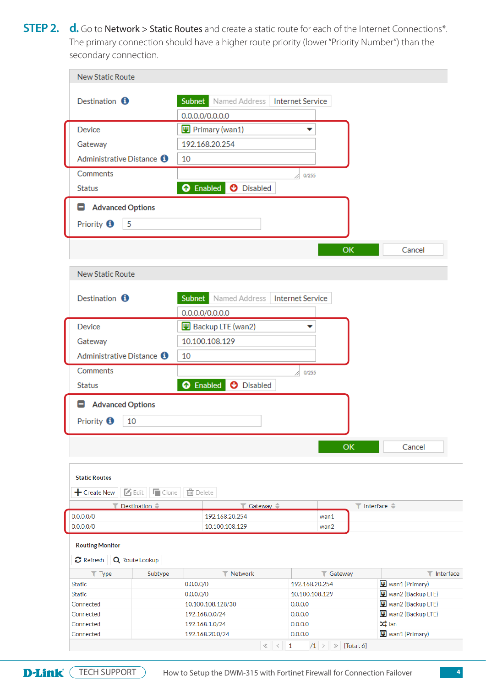**STEP 2.** d. Go to Network > Static Routes and create a static route for each of the Internet Connections\*. The primary connection should have a higher route priority (lower "Priority Number") than the secondary connection.

| <b>New Static Route</b>                                    |                                           |                         |                  |                                                |                              |                          |
|------------------------------------------------------------|-------------------------------------------|-------------------------|------------------|------------------------------------------------|------------------------------|--------------------------|
| Destination <b>O</b>                                       | <b>Subnet</b> Named Address               | <b>Internet Service</b> |                  |                                                |                              |                          |
|                                                            | 0.0.0.0/0.0.0.0                           |                         |                  |                                                |                              |                          |
| <b>Device</b>                                              | Primary (wan1)                            | ▼                       |                  |                                                |                              |                          |
|                                                            |                                           |                         |                  |                                                |                              |                          |
| Gateway                                                    | 192.168.20.254                            |                         |                  |                                                |                              |                          |
| Administrative Distance <b>O</b>                           | 10                                        |                         |                  |                                                |                              |                          |
| Comments                                                   |                                           | 0/255                   |                  |                                                |                              |                          |
| <b>Status</b>                                              | <b>O</b> Enabled<br><b>O</b> Disabled     |                         |                  |                                                |                              |                          |
| <b>Advanced Options</b><br>۸                               |                                           |                         |                  |                                                |                              |                          |
| Priority <b>O</b><br>5                                     |                                           |                         |                  |                                                |                              |                          |
|                                                            |                                           |                         |                  | OK                                             | Cancel                       |                          |
| <b>New Static Route</b>                                    |                                           |                         |                  |                                                |                              |                          |
|                                                            |                                           |                         |                  |                                                |                              |                          |
| Destination $\bullet$                                      | <b>Subnet</b> Named Address               | <b>Internet Service</b> |                  |                                                |                              |                          |
|                                                            | 0.0.0.0/0.0.0.0                           |                         |                  |                                                |                              |                          |
| Device                                                     | <b>W</b> Backup LTE (wan2)                | ▼                       |                  |                                                |                              |                          |
|                                                            |                                           |                         |                  |                                                |                              |                          |
| Gateway                                                    | 10.100.108.129                            |                         |                  |                                                |                              |                          |
| Administrative Distance <b>O</b>                           | 10                                        |                         |                  |                                                |                              |                          |
| Comments                                                   |                                           | 0/255                   |                  |                                                |                              |                          |
| <b>Status</b>                                              | <b>O</b> Disabled<br><b>O</b> Enabled     |                         |                  |                                                |                              |                          |
| <b>Advanced Options</b><br>۸                               |                                           |                         |                  |                                                |                              |                          |
| Priority <sup>0</sup><br>10                                |                                           |                         |                  |                                                |                              |                          |
|                                                            |                                           |                         |                  | OK                                             | Cancel                       |                          |
|                                                            |                                           |                         |                  |                                                |                              |                          |
| <b>Static Routes</b>                                       |                                           |                         |                  |                                                |                              |                          |
|                                                            |                                           |                         |                  |                                                |                              |                          |
| $\blacksquare$ Edit $\blacksquare$ Clone<br>$+$ Create New | 面 Delete                                  |                         |                  |                                                |                              |                          |
| $\blacktriangledown$ Destination $\triangleq$              | $\blacktriangledown$ Gateway $\triangleq$ |                         |                  | $\blacktriangledown$ Interface $\triangleleft$ |                              |                          |
| 0.0.0.0/0                                                  | 192.168.20.254                            |                         | wan1             |                                                |                              |                          |
| 0.0.0.0/0                                                  | 10.100.108.129                            |                         | wan2             |                                                |                              |                          |
| <b>Routing Monitor</b><br>C Refresh<br>Q Route Lookup      |                                           |                         |                  |                                                |                              |                          |
| $\blacktriangledown$ Type<br>Subtype                       | <b>Y</b> Network                          |                         | <b>T</b> Gateway |                                                |                              | $\blacksquare$ Interface |
|                                                            | 0.0.0.0/0                                 | 192.168.20.254          |                  |                                                | W wan1 (Primary)             |                          |
|                                                            | 0.0.0.0/0                                 | 10.100.108.129          |                  |                                                | W wan2 (Backup LTE)          |                          |
| <b>Static</b><br><b>Static</b><br>Connected                | 10.100.108.128/30                         | 0.0.0.0                 |                  |                                                | W wan2 (Backup LTE)          |                          |
| Connected                                                  | 192.168.0.0/24                            | 0.0.0.0                 |                  |                                                | W wan2 (Backup LTE)          |                          |
| Connected                                                  | 192.168.1.0/24<br>192.168.20.0/24         | 0.0.0.0                 |                  |                                                | $24$ lan<br>W wan1 (Primary) |                          |